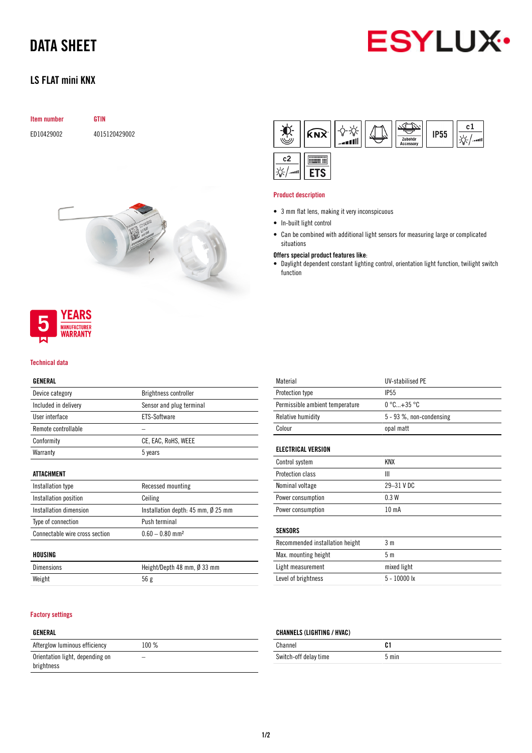# DATA SHEET



## LS FLAT mini KNX

|  |  | <b>Item number</b> |  |
|--|--|--------------------|--|
|--|--|--------------------|--|

ED10429002 4015120429002

**GTIN** 





#### Technical data

#### GENERAL

| Brightness controller    |
|--------------------------|
| Sensor and plug terminal |
| ETS-Software             |
|                          |
| CE, EAC, RoHS, WEEE      |
| 5 years                  |
|                          |

#### ATTACHMENT

| Installation type              | Recessed mounting                  |
|--------------------------------|------------------------------------|
| Installation position          | Ceiling                            |
| Installation dimension         | Installation depth: 45 mm, Ø 25 mm |
| Type of connection             | Push terminal                      |
| Connectable wire cross section | $0.60 - 0.80$ mm <sup>2</sup>      |

#### HOUSING

| <b>Dimensions</b> | Height/Depth 48 mm, $\emptyset$ 33 mm |
|-------------------|---------------------------------------|
| Weight            | 56g                                   |

#### Factory settings

#### GENERAL

| Afterglow luminous efficiency                 | $100\%$ |  |
|-----------------------------------------------|---------|--|
| Orientation light, depending on<br>brightness |         |  |



#### Product description

- 3 mm flat lens, making it very inconspicuous
- In-built light control
- Can be combined with additional light sensors for measuring large or complicated situations

#### Offers special product features like:

• Daylight dependent constant lighting control, orientation light function, twilight switch function

| Material                        | <b>UV-stabilised PE</b>        |
|---------------------------------|--------------------------------|
| Protection type                 | <b>IP55</b>                    |
| Permissible ambient temperature | $0^{\circ}$ C +35 $^{\circ}$ C |
| Relative humidity               | 5 - 93 %, non-condensing       |
| Colour                          | opal matt                      |
|                                 |                                |
| <b>ELECTRICAL VERSION</b>       |                                |
| Control system                  | KNX                            |
| Protection class                | Ш                              |
| Nominal voltage                 | 29-31 V DC                     |
| Power consumption               | 0.3W                           |
| Power consumption               | 10 mA                          |
|                                 |                                |
| <b>SENSORS</b>                  |                                |
| Recommended installation height | 3 m                            |
|                                 |                                |

| Max. mounting height | 5 m            |
|----------------------|----------------|
| Light measurement    | mixed light    |
| Level of brightness  | $5 - 10000$ lx |

### CHANNELS (LIGHTING / HVAC)

| Channel               |       |
|-----------------------|-------|
| Switch-off delay time | 5 min |